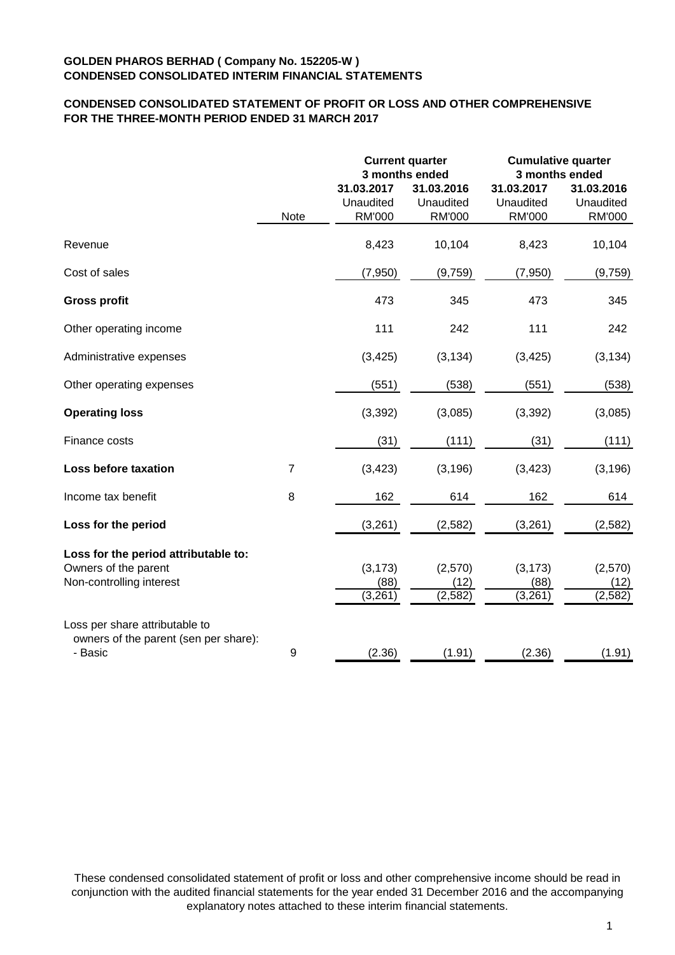# **CONDENSED CONSOLIDATED STATEMENT OF PROFIT OR LOSS AND OTHER COMPREHENSIVE FOR THE THREE-MONTH PERIOD ENDED 31 MARCH 2017**

|                                                                                          |                |                                          | <b>Current quarter</b><br>3 months ended | <b>Cumulative quarter</b><br>3 months ended |                                          |  |
|------------------------------------------------------------------------------------------|----------------|------------------------------------------|------------------------------------------|---------------------------------------------|------------------------------------------|--|
|                                                                                          | Note           | 31.03.2017<br>Unaudited<br><b>RM'000</b> | 31.03.2016<br>Unaudited<br><b>RM'000</b> | 31.03.2017<br>Unaudited<br><b>RM'000</b>    | 31.03.2016<br>Unaudited<br><b>RM'000</b> |  |
| Revenue                                                                                  |                | 8,423                                    | 10,104                                   | 8,423                                       | 10,104                                   |  |
| Cost of sales                                                                            |                | (7,950)                                  | (9,759)                                  | (7,950)                                     | (9,759)                                  |  |
| <b>Gross profit</b>                                                                      |                | 473                                      | 345                                      | 473                                         | 345                                      |  |
| Other operating income                                                                   |                | 111                                      | 242                                      | 111                                         | 242                                      |  |
| Administrative expenses                                                                  |                | (3, 425)                                 | (3, 134)                                 | (3, 425)                                    | (3, 134)                                 |  |
| Other operating expenses                                                                 |                | (551)                                    | (538)                                    | (551)                                       | (538)                                    |  |
| <b>Operating loss</b>                                                                    |                | (3, 392)                                 | (3,085)                                  | (3, 392)                                    | (3,085)                                  |  |
| Finance costs                                                                            |                | (31)                                     | (111)                                    | (31)                                        | (111)                                    |  |
| Loss before taxation                                                                     | $\overline{7}$ | (3, 423)                                 | (3, 196)                                 | (3, 423)                                    | (3, 196)                                 |  |
| Income tax benefit                                                                       | 8              | 162                                      | 614                                      | 162                                         | 614                                      |  |
| Loss for the period                                                                      |                | (3,261)                                  | (2, 582)                                 | (3,261)                                     | (2, 582)                                 |  |
| Loss for the period attributable to:<br>Owners of the parent<br>Non-controlling interest |                | (3, 173)<br>(88)<br>(3,261)              | (2,570)<br>(12)<br>(2, 582)              | (3, 173)<br>(88)<br>(3,261)                 | (2,570)<br>(12)<br>(2, 582)              |  |
| Loss per share attributable to<br>owners of the parent (sen per share):<br>- Basic       | 9              | (2.36)                                   | (1.91)                                   | (2.36)                                      | (1.91)                                   |  |

These condensed consolidated statement of profit or loss and other comprehensive income should be read in conjunction with the audited financial statements for the year ended 31 December 2016 and the accompanying explanatory notes attached to these interim financial statements.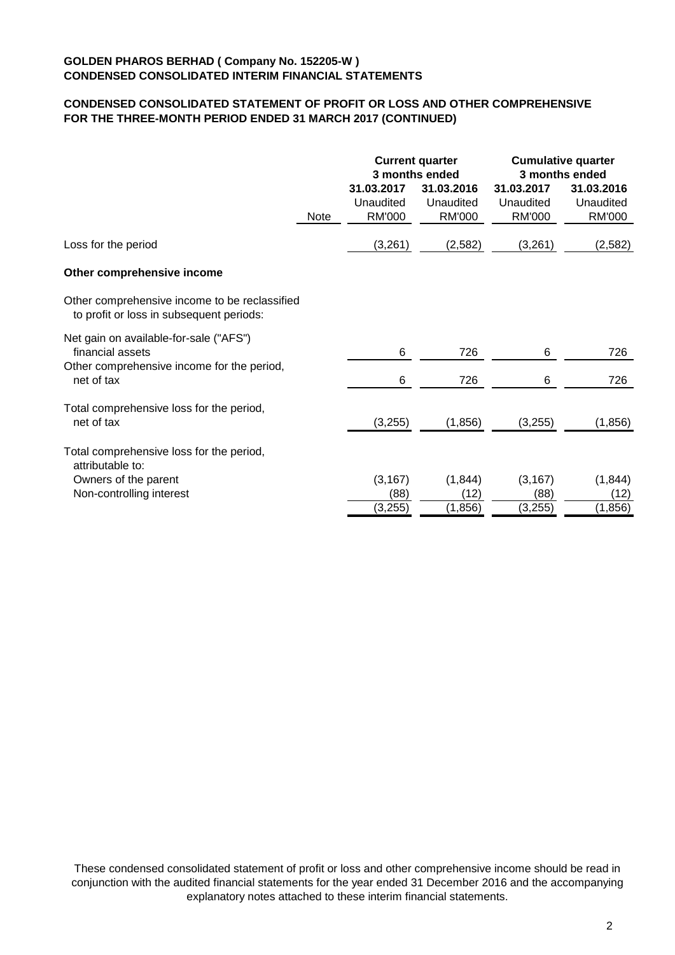# **CONDENSED CONSOLIDATED STATEMENT OF PROFIT OR LOSS AND OTHER COMPREHENSIVE FOR THE THREE-MONTH PERIOD ENDED 31 MARCH 2017 (CONTINUED)**

|                                                                                           |             |                                          | <b>Current quarter</b><br>3 months ended | <b>Cumulative quarter</b><br>3 months ended |                                          |  |
|-------------------------------------------------------------------------------------------|-------------|------------------------------------------|------------------------------------------|---------------------------------------------|------------------------------------------|--|
|                                                                                           | <b>Note</b> | 31.03.2017<br>Unaudited<br><b>RM'000</b> | 31.03.2016<br>Unaudited<br><b>RM'000</b> | 31.03.2017<br>Unaudited<br><b>RM'000</b>    | 31.03.2016<br>Unaudited<br><b>RM'000</b> |  |
| Loss for the period                                                                       |             | (3,261)                                  | (2, 582)                                 | (3,261)                                     | (2,582)                                  |  |
| Other comprehensive income                                                                |             |                                          |                                          |                                             |                                          |  |
| Other comprehensive income to be reclassified<br>to profit or loss in subsequent periods: |             |                                          |                                          |                                             |                                          |  |
| Net gain on available-for-sale ("AFS")<br>financial assets                                |             | 6                                        | 726                                      | 6                                           | 726                                      |  |
| Other comprehensive income for the period,<br>net of tax                                  |             | 6                                        | 726                                      | 6                                           | 726                                      |  |
| Total comprehensive loss for the period,<br>net of tax                                    |             | (3,255)                                  | (1, 856)                                 | (3,255)                                     | (1,856)                                  |  |
| Total comprehensive loss for the period,<br>attributable to:                              |             |                                          |                                          |                                             |                                          |  |
| Owners of the parent<br>Non-controlling interest                                          |             | (3, 167)<br>(88)<br>(3, 255)             | (1, 844)<br>(12)<br>(1, 856)             | (3, 167)<br>(88)<br>(3,255)                 | (1, 844)<br>(12)<br>(1, 856)             |  |
|                                                                                           |             |                                          |                                          |                                             |                                          |  |

These condensed consolidated statement of profit or loss and other comprehensive income should be read in conjunction with the audited financial statements for the year ended 31 December 2016 and the accompanying explanatory notes attached to these interim financial statements.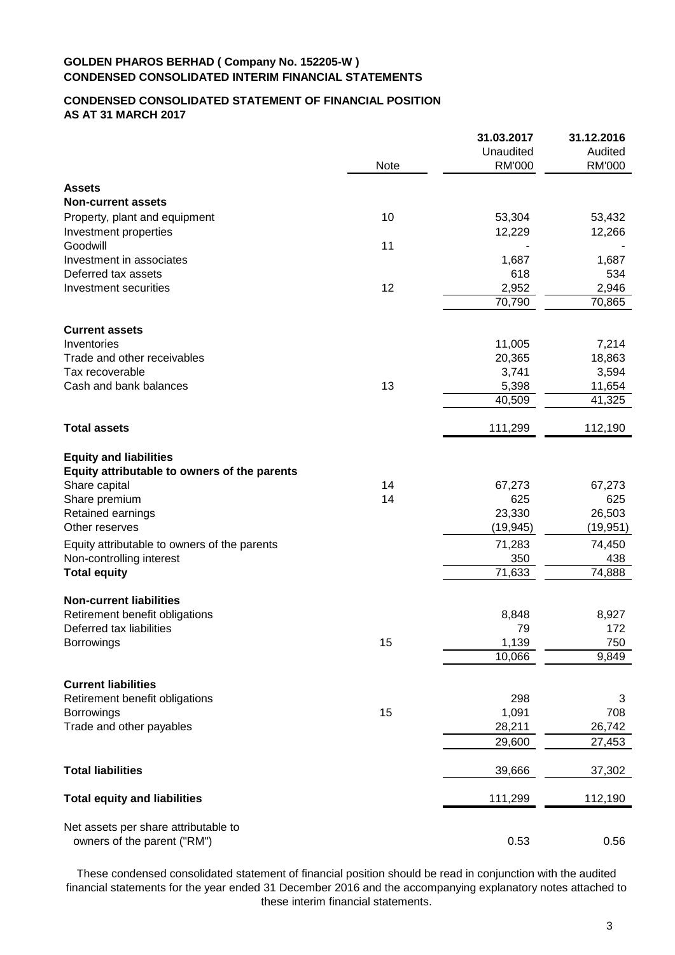## **CONDENSED CONSOLIDATED STATEMENT OF FINANCIAL POSITION AS AT 31 MARCH 2017**

|                                                                     | Note | 31.03.2017<br>Unaudited<br>RM'000 | 31.12.2016<br>Audited<br><b>RM'000</b> |
|---------------------------------------------------------------------|------|-----------------------------------|----------------------------------------|
| <b>Assets</b>                                                       |      |                                   |                                        |
| <b>Non-current assets</b>                                           |      |                                   |                                        |
| Property, plant and equipment                                       | 10   | 53,304                            | 53,432                                 |
| Investment properties                                               |      | 12,229                            | 12,266                                 |
| Goodwill                                                            | 11   |                                   |                                        |
| Investment in associates                                            |      | 1,687                             | 1,687                                  |
| Deferred tax assets                                                 |      | 618                               | 534                                    |
| Investment securities                                               | 12   | 2,952                             | 2,946                                  |
|                                                                     |      | 70,790                            | 70,865                                 |
| <b>Current assets</b>                                               |      |                                   |                                        |
| Inventories                                                         |      | 11,005                            | 7,214                                  |
| Trade and other receivables                                         |      | 20,365                            | 18,863                                 |
| Tax recoverable                                                     |      | 3,741                             | 3,594                                  |
| Cash and bank balances                                              | 13   | 5,398                             | 11,654                                 |
|                                                                     |      | 40,509                            | 41,325                                 |
| <b>Total assets</b>                                                 |      | 111,299                           | 112,190                                |
| <b>Equity and liabilities</b>                                       |      |                                   |                                        |
| Equity attributable to owners of the parents                        |      |                                   |                                        |
| Share capital                                                       | 14   | 67,273                            | 67,273                                 |
| Share premium                                                       | 14   | 625                               | 625                                    |
| Retained earnings                                                   |      | 23,330                            | 26,503                                 |
| Other reserves                                                      |      | (19,945)                          | (19, 951)                              |
| Equity attributable to owners of the parents                        |      | 71,283                            | 74,450                                 |
| Non-controlling interest                                            |      | 350                               | 438                                    |
| <b>Total equity</b>                                                 |      | 71,633                            | 74,888                                 |
| <b>Non-current liabilities</b>                                      |      |                                   |                                        |
| Retirement benefit obligations                                      |      | 8,848                             | 8,927                                  |
| Deferred tax liabilities                                            |      | 79                                | 172                                    |
| Borrowings                                                          | 15   | 1,139                             | 750                                    |
|                                                                     |      | 10,066                            | 9,849                                  |
| <b>Current liabilities</b>                                          |      |                                   |                                        |
| Retirement benefit obligations                                      |      | 298                               | 3                                      |
| <b>Borrowings</b>                                                   | 15   | 1,091                             | 708                                    |
| Trade and other payables                                            |      | 28,211                            | 26,742                                 |
|                                                                     |      | 29,600                            | 27,453                                 |
| <b>Total liabilities</b>                                            |      | 39,666                            | 37,302                                 |
| <b>Total equity and liabilities</b>                                 |      | 111,299                           | 112,190                                |
| Net assets per share attributable to<br>owners of the parent ("RM") |      | 0.53                              | 0.56                                   |
|                                                                     |      |                                   |                                        |

These condensed consolidated statement of financial position should be read in conjunction with the audited financial statements for the year ended 31 December 2016 and the accompanying explanatory notes attached to these interim financial statements.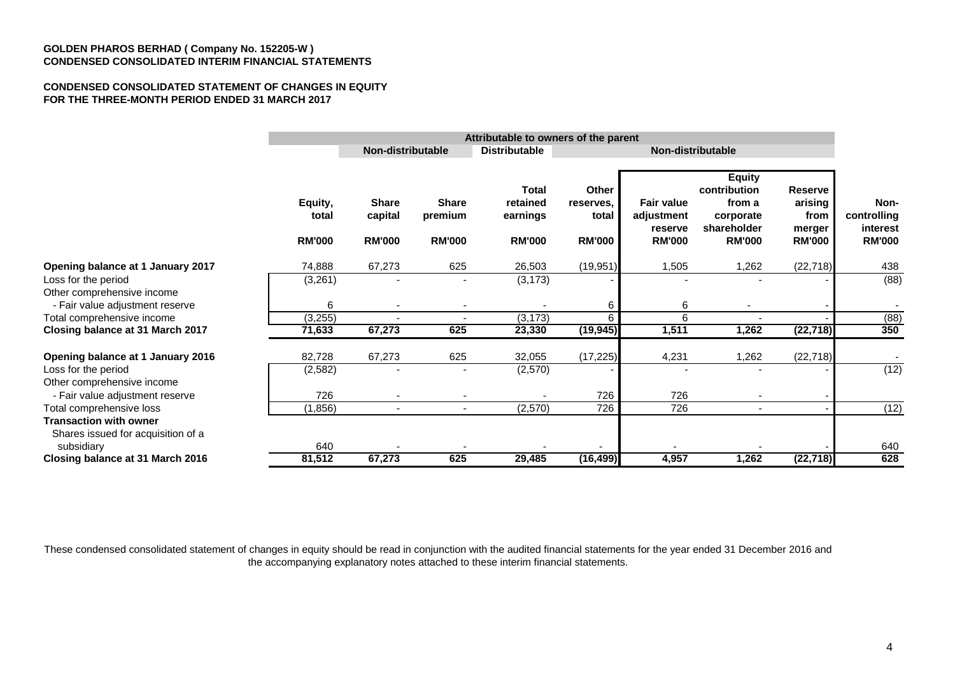#### **CONDENSED CONSOLIDATED STATEMENT OF CHANGES IN EQUITY FOR THE THREE-MONTH PERIOD ENDED 31 MARCH 2017**

|                                                                                        |                                   | Attributable to owners of the parent     |                                          |                                                       |                                                     |                                                             |                                                                                      |                                                              |                                                  |
|----------------------------------------------------------------------------------------|-----------------------------------|------------------------------------------|------------------------------------------|-------------------------------------------------------|-----------------------------------------------------|-------------------------------------------------------------|--------------------------------------------------------------------------------------|--------------------------------------------------------------|--------------------------------------------------|
|                                                                                        |                                   | Non-distributable                        |                                          | <b>Distributable</b>                                  | Non-distributable                                   |                                                             |                                                                                      |                                                              |                                                  |
|                                                                                        | Equity,<br>total<br><b>RM'000</b> | <b>Share</b><br>capital<br><b>RM'000</b> | <b>Share</b><br>premium<br><b>RM'000</b> | <b>Total</b><br>retained<br>earnings<br><b>RM'000</b> | <b>Other</b><br>reserves.<br>total<br><b>RM'000</b> | <b>Fair value</b><br>adjustment<br>reserve<br><b>RM'000</b> | <b>Equity</b><br>contribution<br>from a<br>corporate<br>shareholder<br><b>RM'000</b> | <b>Reserve</b><br>arising<br>from<br>merger<br><b>RM'000</b> | Non-<br>controlling<br>interest<br><b>RM'000</b> |
| Opening balance at 1 January 2017<br>Loss for the period<br>Other comprehensive income | 74,888<br>(3,261)                 | 67,273                                   | 625                                      | 26,503<br>(3, 173)                                    | (19, 951)                                           | 1,505                                                       | 1,262                                                                                | (22, 718)                                                    | 438<br>(88)                                      |
| - Fair value adjustment reserve                                                        | 6                                 |                                          |                                          |                                                       | 6                                                   | 6                                                           |                                                                                      |                                                              |                                                  |
| Total comprehensive income<br>Closing balance at 31 March 2017                         | (3, 255)<br>71,633                | 67,273                                   | 625                                      | (3, 173)<br>23,330                                    | 6<br>(19, 945)                                      | 6<br>1,511                                                  | 1,262                                                                                | (22, 718)                                                    | (88)<br>350                                      |
| Opening balance at 1 January 2016                                                      | 82,728                            | 67,273                                   | 625                                      | 32,055                                                | (17, 225)                                           | 4,231                                                       | ,262                                                                                 | (22, 718)                                                    |                                                  |
| Loss for the period<br>Other comprehensive income                                      | (2, 582)                          |                                          |                                          | (2,570)                                               |                                                     |                                                             |                                                                                      |                                                              | (12)                                             |
| - Fair value adjustment reserve<br>Total comprehensive loss                            | 726<br>(1, 856)                   | $\blacksquare$                           | $\blacksquare$                           | (2,570)                                               | 726<br>$\overline{726}$                             | 726<br>726                                                  | $\overline{\phantom{a}}$                                                             |                                                              | (12)                                             |
| <b>Transaction with owner</b><br>Shares issued for acquisition of a                    |                                   |                                          |                                          |                                                       |                                                     |                                                             |                                                                                      |                                                              |                                                  |
| subsidiary                                                                             | 640                               |                                          |                                          |                                                       |                                                     |                                                             |                                                                                      |                                                              | 640                                              |
| Closing balance at 31 March 2016                                                       | 81,512                            | 67,273                                   | 625                                      | 29,485                                                | (16, 499)                                           | 4,957                                                       | 1,262                                                                                | (22, 718)                                                    | 628                                              |

These condensed consolidated statement of changes in equity should be read in conjunction with the audited financial statements for the year ended 31 December 2016 and the accompanying explanatory notes attached to these interim financial statements.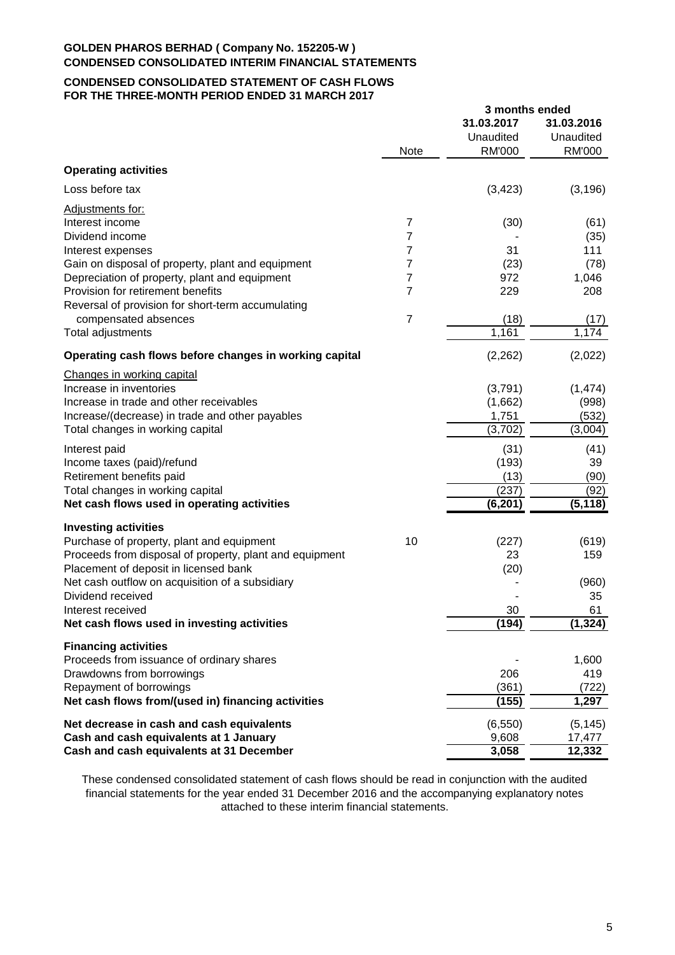# **CONDENSED CONSOLIDATED STATEMENT OF CASH FLOWS FOR THE THREE-MONTH PERIOD ENDED 31 MARCH 2017**

|                                                         |                | 3 months ended |               |  |
|---------------------------------------------------------|----------------|----------------|---------------|--|
|                                                         |                | 31.03.2017     | 31.03.2016    |  |
|                                                         |                | Unaudited      | Unaudited     |  |
|                                                         | Note           | <b>RM'000</b>  | <b>RM'000</b> |  |
| <b>Operating activities</b>                             |                |                |               |  |
| Loss before tax                                         |                | (3, 423)       | (3, 196)      |  |
| Adjustments for:                                        |                |                |               |  |
| Interest income                                         | 7              | (30)           | (61)          |  |
| Dividend income                                         | $\overline{7}$ |                | (35)          |  |
| Interest expenses                                       | 7              | 31             | 111           |  |
| Gain on disposal of property, plant and equipment       | 7              | (23)           | (78)          |  |
| Depreciation of property, plant and equipment           | 7              | 972            | 1,046         |  |
| Provision for retirement benefits                       | 7              | 229            | 208           |  |
| Reversal of provision for short-term accumulating       |                |                |               |  |
| compensated absences                                    | $\overline{7}$ | (18)           | (17)          |  |
| Total adjustments                                       |                | 1,161          | 1,174         |  |
| Operating cash flows before changes in working capital  |                | (2, 262)       | (2,022)       |  |
| Changes in working capital                              |                |                |               |  |
| Increase in inventories                                 |                | (3,791)        | (1, 474)      |  |
| Increase in trade and other receivables                 |                | (1,662)        | (998)         |  |
| Increase/(decrease) in trade and other payables         |                | 1,751          | (532)         |  |
| Total changes in working capital                        |                | (3,702)        | (3,004)       |  |
| Interest paid                                           |                | (31)           | (41)          |  |
| Income taxes (paid)/refund                              |                | (193)          | 39            |  |
| Retirement benefits paid                                |                | (13)           | (90)          |  |
| Total changes in working capital                        |                | (237)          | (92)          |  |
| Net cash flows used in operating activities             |                | (6, 201)       | (5, 118)      |  |
| <b>Investing activities</b>                             |                |                |               |  |
| Purchase of property, plant and equipment               | 10             | (227)          | (619)         |  |
| Proceeds from disposal of property, plant and equipment |                | 23             | 159           |  |
| Placement of deposit in licensed bank                   |                | (20)           |               |  |
| Net cash outflow on acquisition of a subsidiary         |                |                | (960)         |  |
| Dividend received                                       |                |                | 35            |  |
| Interest received                                       |                | 30             | 61            |  |
| Net cash flows used in investing activities             |                | (194)          | (1, 324)      |  |
| <b>Financing activities</b>                             |                |                |               |  |
| Proceeds from issuance of ordinary shares               |                |                | 1,600         |  |
| Drawdowns from borrowings                               |                | 206            | 419           |  |
| Repayment of borrowings                                 |                | (361)          | (722)         |  |
| Net cash flows from/(used in) financing activities      |                | (155)          | 1,297         |  |
| Net decrease in cash and cash equivalents               |                | (6, 550)       | (5, 145)      |  |
| Cash and cash equivalents at 1 January                  |                | 9,608          | 17,477        |  |
| Cash and cash equivalents at 31 December                |                | 3,058          | 12,332        |  |

These condensed consolidated statement of cash flows should be read in conjunction with the audited financial statements for the year ended 31 December 2016 and the accompanying explanatory notes attached to these interim financial statements.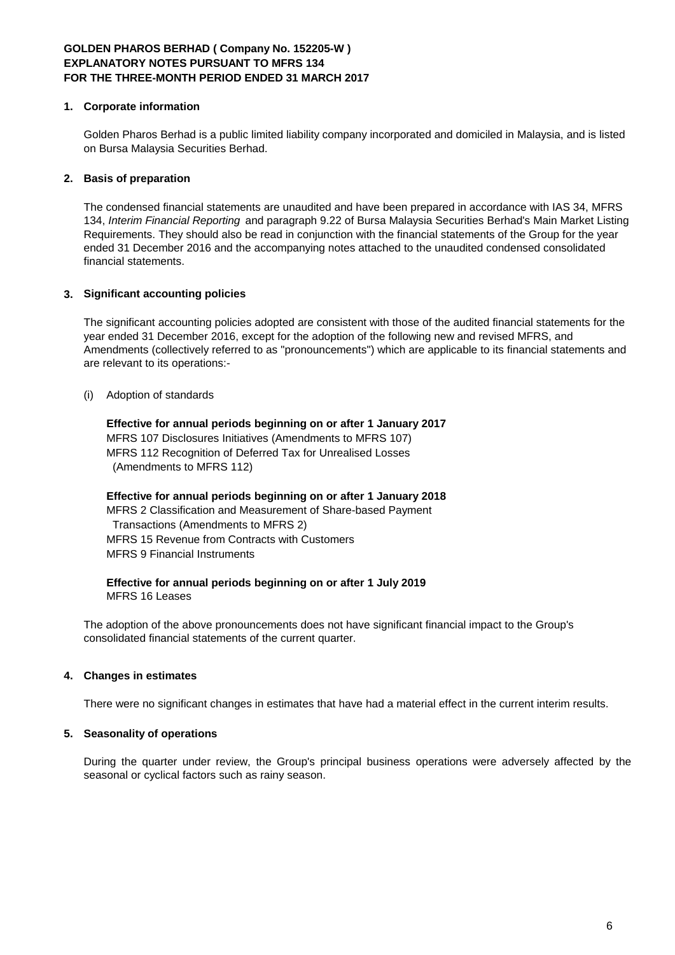### **1. Corporate information**

Golden Pharos Berhad is a public limited liability company incorporated and domiciled in Malaysia, and is listed on Bursa Malaysia Securities Berhad.

### **2. Basis of preparation**

The condensed financial statements are unaudited and have been prepared in accordance with IAS 34, MFRS 134, *Interim Financial Reporting* and paragraph 9.22 of Bursa Malaysia Securities Berhad's Main Market Listing Requirements. They should also be read in conjunction with the financial statements of the Group for the year ended 31 December 2016 and the accompanying notes attached to the unaudited condensed consolidated financial statements.

### **3. Significant accounting policies**

The significant accounting policies adopted are consistent with those of the audited financial statements for the year ended 31 December 2016, except for the adoption of the following new and revised MFRS, and Amendments (collectively referred to as "pronouncements") which are applicable to its financial statements and are relevant to its operations:-

### (i) Adoption of standards

# **Effective for annual periods beginning on or after 1 January 2017**

MFRS 107 Disclosures Initiatives (Amendments to MFRS 107) MFRS 112 Recognition of Deferred Tax for Unrealised Losses (Amendments to MFRS 112)

#### **Effective for annual periods beginning on or after 1 January 2018**

MFRS 2 Classification and Measurement of Share-based Payment Transactions (Amendments to MFRS 2) MFRS 15 Revenue from Contracts with Customers MFRS 9 Financial Instruments

#### **Effective for annual periods beginning on or after 1 July 2019** MFRS 16 Leases

The adoption of the above pronouncements does not have significant financial impact to the Group's consolidated financial statements of the current quarter.

## **4. Changes in estimates**

There were no significant changes in estimates that have had a material effect in the current interim results.

#### **5. Seasonality of operations**

During the quarter under review, the Group's principal business operations were adversely affected by the seasonal or cyclical factors such as rainy season.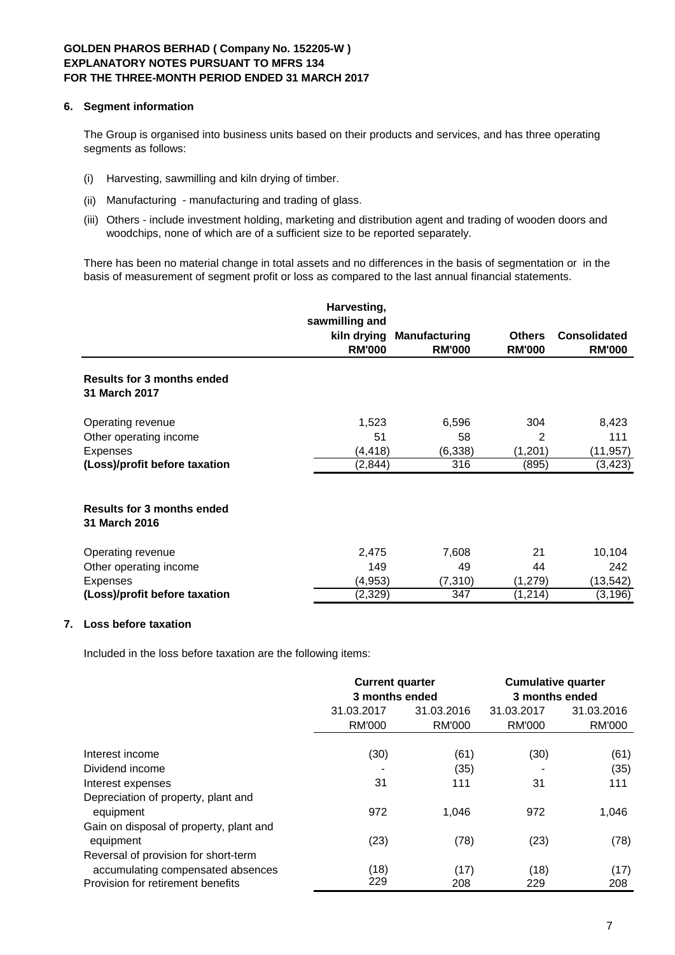## **6. Segment information**

The Group is organised into business units based on their products and services, and has three operating segments as follows:

- (i) Harvesting, sawmilling and kiln drying of timber.
- (ii) Manufacturing manufacturing and trading of glass.
- (iii) Others include investment holding, marketing and distribution agent and trading of wooden doors and woodchips, none of which are of a sufficient size to be reported separately.

There has been no material change in total assets and no differences in the basis of segmentation or in the basis of measurement of segment profit or loss as compared to the last annual financial statements.

|                                                    | Harvesting,<br>sawmilling and |                           |               |                     |
|----------------------------------------------------|-------------------------------|---------------------------|---------------|---------------------|
|                                                    |                               | kiln drying Manufacturing | <b>Others</b> | <b>Consolidated</b> |
|                                                    | <b>RM'000</b>                 | <b>RM'000</b>             | <b>RM'000</b> | <b>RM'000</b>       |
| <b>Results for 3 months ended</b><br>31 March 2017 |                               |                           |               |                     |
| Operating revenue                                  | 1,523                         | 6,596                     | 304           | 8,423               |
| Other operating income                             | 51                            | 58                        | 2             | 111                 |
| Expenses                                           | (4, 418)                      | (6, 338)                  | (1,201)       | (11, 957)           |
| (Loss)/profit before taxation                      | (2,844)                       | 316                       | (895)         | (3, 423)            |
| <b>Results for 3 months ended</b><br>31 March 2016 |                               |                           |               |                     |
| Operating revenue                                  | 2,475                         | 7,608                     | 21            | 10,104              |
| Other operating income                             | 149                           | 49                        | 44            | 242                 |
| Expenses                                           | (4, 953)                      | (7, 310)                  | (1, 279)      | (13, 542)           |
| (Loss)/profit before taxation                      | (2,329)                       | 347                       | (1, 214)      | (3, 196)            |

## **7. Loss before taxation**

Included in the loss before taxation are the following items:

|                                         | <b>Current quarter</b><br>3 months ended |               | <b>Cumulative quarter</b><br>3 months ended |               |
|-----------------------------------------|------------------------------------------|---------------|---------------------------------------------|---------------|
|                                         | 31.03.2017<br>31.03.2016                 |               | 31.03.2017                                  | 31.03.2016    |
|                                         | <b>RM'000</b>                            | <b>RM'000</b> | <b>RM'000</b>                               | <b>RM'000</b> |
| Interest income                         | (30)                                     | (61)          | (30)                                        | (61)          |
| Dividend income                         |                                          | (35)          |                                             | (35)          |
| Interest expenses                       | 31                                       | 111           | 31                                          | 111           |
| Depreciation of property, plant and     |                                          |               |                                             |               |
| equipment                               | 972                                      | 1,046         | 972                                         | 1,046         |
| Gain on disposal of property, plant and |                                          |               |                                             |               |
| equipment                               | (23)                                     | (78)          | (23)                                        | (78)          |
| Reversal of provision for short-term    |                                          |               |                                             |               |
| accumulating compensated absences       | (18)                                     | (17)          | (18)                                        | (17)          |
| Provision for retirement benefits       | 229                                      | 208           | 229                                         | 208           |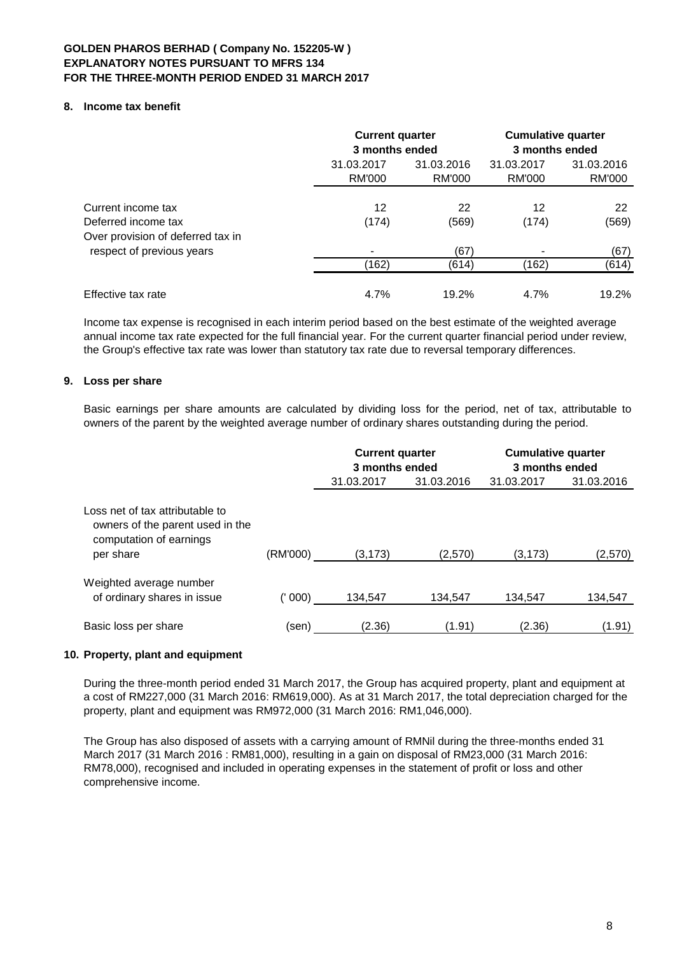## **8. Income tax benefit**

|                                                                | <b>Current quarter</b><br>3 months ended |                      | <b>Cumulative quarter</b><br>3 months ended |                      |
|----------------------------------------------------------------|------------------------------------------|----------------------|---------------------------------------------|----------------------|
|                                                                | 31.03.2017<br>RM'000                     | 31.03.2016<br>RM'000 | 31.03.2017<br>RM'000                        | 31.03.2016<br>RM'000 |
| Current income tax<br>Deferred income tax                      | 12<br>(174)                              | 22<br>(569)          | 12<br>(174)                                 | 22<br>(569)          |
| Over provision of deferred tax in<br>respect of previous years | (162)                                    | (67)<br>(614)        | (162)                                       | (67)<br>(614)        |
| Effective tax rate                                             | 4.7%                                     | 19.2%                | 4.7%                                        | 19.2%                |

Income tax expense is recognised in each interim period based on the best estimate of the weighted average annual income tax rate expected for the full financial year. For the current quarter financial period under review, the Group's effective tax rate was lower than statutory tax rate due to reversal temporary differences.

### **9. Loss per share**

Basic earnings per share amounts are calculated by dividing loss for the period, net of tax, attributable to owners of the parent by the weighted average number of ordinary shares outstanding during the period.

|                                                                                                             |          | <b>Current quarter</b><br>3 months ended |            | <b>Cumulative quarter</b><br>3 months ended |            |
|-------------------------------------------------------------------------------------------------------------|----------|------------------------------------------|------------|---------------------------------------------|------------|
|                                                                                                             |          | 31.03.2017                               | 31.03.2016 | 31.03.2017                                  | 31.03.2016 |
| Loss net of tax attributable to<br>owners of the parent used in the<br>computation of earnings<br>per share | (RM'000) | (3, 173)                                 | (2,570)    | (3, 173)                                    | (2,570)    |
| Weighted average number<br>of ordinary shares in issue                                                      | ('000)   | 134.547                                  | 134.547    | 134.547                                     | 134,547    |
| Basic loss per share                                                                                        | (sen)    | (2.36)                                   | (1.91)     | (2.36)                                      | (1.91)     |

### **10. Property, plant and equipment**

During the three-month period ended 31 March 2017, the Group has acquired property, plant and equipment at a cost of RM227,000 (31 March 2016: RM619,000). As at 31 March 2017, the total depreciation charged for the property, plant and equipment was RM972,000 (31 March 2016: RM1,046,000).

The Group has also disposed of assets with a carrying amount of RMNil during the three-months ended 31 March 2017 (31 March 2016 : RM81,000), resulting in a gain on disposal of RM23,000 (31 March 2016: RM78,000), recognised and included in operating expenses in the statement of profit or loss and other comprehensive income.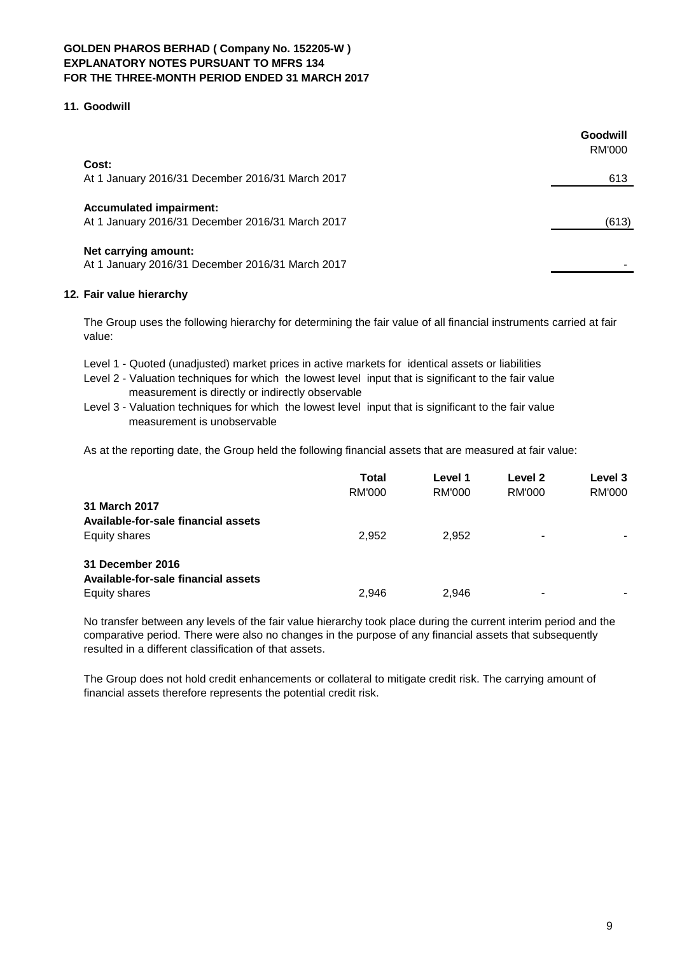## **11. Goodwill**

|                                                                          | Goodwill<br><b>RM'000</b> |
|--------------------------------------------------------------------------|---------------------------|
| Cost:                                                                    |                           |
| At 1 January 2016/31 December 2016/31 March 2017                         | 613                       |
| <b>Accumulated impairment:</b>                                           |                           |
| At 1 January 2016/31 December 2016/31 March 2017                         | (613)                     |
| Net carrying amount:<br>At 1 January 2016/31 December 2016/31 March 2017 |                           |

## **12. Fair value hierarchy**

The Group uses the following hierarchy for determining the fair value of all financial instruments carried at fair value:

- Level 1 Quoted (unadjusted) market prices in active markets for identical assets or liabilities
- Level 2 Valuation techniques for which the lowest level input that is significant to the fair value measurement is directly or indirectly observable
- Level 3 Valuation techniques for which the lowest level input that is significant to the fair value measurement is unobservable

As at the reporting date, the Group held the following financial assets that are measured at fair value:

|                                     | <b>Total</b><br><b>RM'000</b> | Level 1<br>RM'000 | Level 2<br><b>RM'000</b> | Level 3<br>RM'000 |
|-------------------------------------|-------------------------------|-------------------|--------------------------|-------------------|
| 31 March 2017                       |                               |                   |                          |                   |
| Available-for-sale financial assets |                               |                   |                          |                   |
| Equity shares                       | 2.952                         | 2.952             | -                        |                   |
| 31 December 2016                    |                               |                   |                          |                   |
| Available-for-sale financial assets |                               |                   |                          |                   |
| Equity shares                       | 2.946                         | 2.946             | -                        |                   |

No transfer between any levels of the fair value hierarchy took place during the current interim period and the comparative period. There were also no changes in the purpose of any financial assets that subsequently resulted in a different classification of that assets.

The Group does not hold credit enhancements or collateral to mitigate credit risk. The carrying amount of financial assets therefore represents the potential credit risk.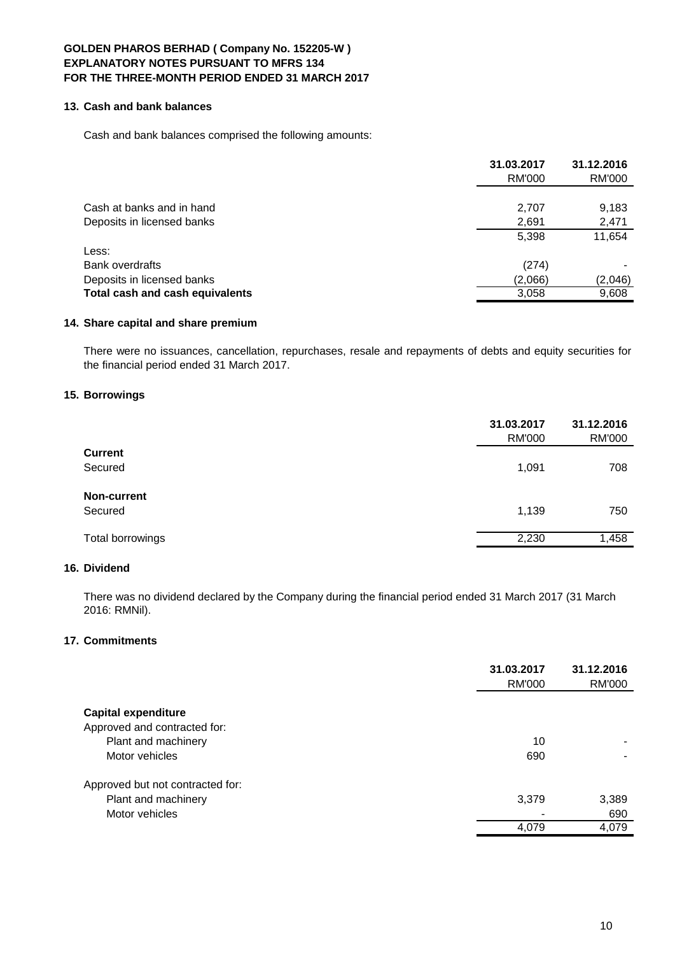# **13. Cash and bank balances**

Cash and bank balances comprised the following amounts:

|                                 | 31.03.2017<br><b>RM'000</b> | 31.12.2016<br>RM'000 |
|---------------------------------|-----------------------------|----------------------|
|                                 |                             |                      |
| Cash at banks and in hand       | 2,707                       | 9,183                |
| Deposits in licensed banks      | 2,691                       | 2,471                |
|                                 | 5,398                       | 11,654               |
| Less:                           |                             |                      |
| Bank overdrafts                 | (274)                       |                      |
| Deposits in licensed banks      | (2,066)                     | (2,046)              |
| Total cash and cash equivalents | 3,058                       | 9,608                |

## **14. Share capital and share premium**

There were no issuances, cancellation, repurchases, resale and repayments of debts and equity securities for the financial period ended 31 March 2017.

## **15. Borrowings**

|                  | 31.03.2017<br><b>RM'000</b> | 31.12.2016<br><b>RM'000</b> |
|------------------|-----------------------------|-----------------------------|
| <b>Current</b>   |                             |                             |
| Secured          | 1,091                       | 708                         |
| Non-current      |                             |                             |
| Secured          | 1,139                       | 750                         |
| Total borrowings | 2,230                       | 1,458                       |

# **16. Dividend**

There was no dividend declared by the Company during the financial period ended 31 March 2017 (31 March 2016: RMNil).

## **17. Commitments**

|                                                         | 31.03.2017<br><b>RM'000</b> | 31.12.2016<br>RM'000 |
|---------------------------------------------------------|-----------------------------|----------------------|
| <b>Capital expenditure</b>                              |                             |                      |
| Approved and contracted for:<br>Plant and machinery     | 10                          |                      |
| Motor vehicles                                          | 690                         |                      |
| Approved but not contracted for:<br>Plant and machinery | 3,379                       | 3,389                |
| Motor vehicles                                          |                             | 690                  |
|                                                         | 4,079                       | 4,079                |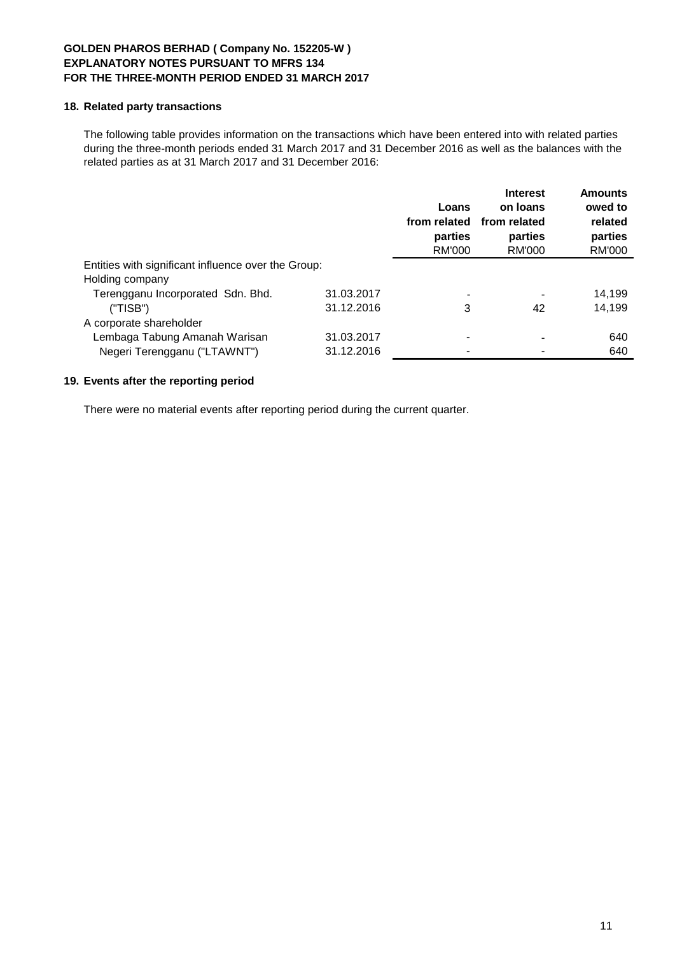# **18. Related party transactions**

The following table provides information on the transactions which have been entered into with related parties during the three-month periods ended 31 March 2017 and 31 December 2016 as well as the balances with the related parties as at 31 March 2017 and 31 December 2016:

|                                                     |            | Loans<br>from related<br>parties<br><b>RM'000</b> | <b>Interest</b><br>on loans<br>from related<br>parties<br><b>RM'000</b> | <b>Amounts</b><br>owed to<br>related<br>parties<br>RM'000 |
|-----------------------------------------------------|------------|---------------------------------------------------|-------------------------------------------------------------------------|-----------------------------------------------------------|
| Entities with significant influence over the Group: |            |                                                   |                                                                         |                                                           |
| Holding company                                     |            |                                                   |                                                                         |                                                           |
| Terengganu Incorporated Sdn. Bhd.                   | 31.03.2017 | ٠                                                 |                                                                         | 14,199                                                    |
| ("TISB")                                            | 31.12.2016 | 3                                                 | 42                                                                      | 14,199                                                    |
| A corporate shareholder                             |            |                                                   |                                                                         |                                                           |
| Lembaga Tabung Amanah Warisan                       | 31.03.2017 | -                                                 |                                                                         | 640                                                       |
| Negeri Terengganu ("LTAWNT")                        | 31.12.2016 |                                                   |                                                                         | 640                                                       |
|                                                     |            |                                                   |                                                                         |                                                           |

# **19. Events after the reporting period**

There were no material events after reporting period during the current quarter.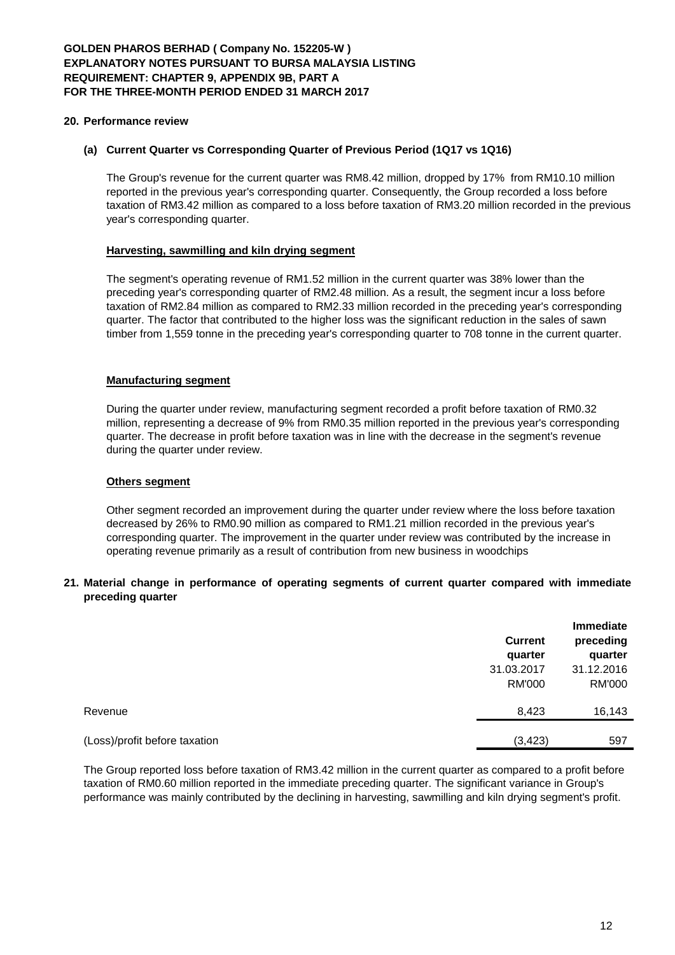### **20. Performance review**

### **(a) Current Quarter vs Corresponding Quarter of Previous Period (1Q17 vs 1Q16)**

The Group's revenue for the current quarter was RM8.42 million, dropped by 17% from RM10.10 million reported in the previous year's corresponding quarter. Consequently, the Group recorded a loss before taxation of RM3.42 million as compared to a loss before taxation of RM3.20 million recorded in the previous year's corresponding quarter.

### **Harvesting, sawmilling and kiln drying segment**

The segment's operating revenue of RM1.52 million in the current quarter was 38% lower than the preceding year's corresponding quarter of RM2.48 million. As a result, the segment incur a loss before taxation of RM2.84 million as compared to RM2.33 million recorded in the preceding year's corresponding quarter. The factor that contributed to the higher loss was the significant reduction in the sales of sawn timber from 1,559 tonne in the preceding year's corresponding quarter to 708 tonne in the current quarter.

### **Manufacturing segment**

During the quarter under review, manufacturing segment recorded a profit before taxation of RM0.32 million, representing a decrease of 9% from RM0.35 million reported in the previous year's corresponding quarter. The decrease in profit before taxation was in line with the decrease in the segment's revenue during the quarter under review.

### **Others segment**

Other segment recorded an improvement during the quarter under review where the loss before taxation decreased by 26% to RM0.90 million as compared to RM1.21 million recorded in the previous year's corresponding quarter. The improvement in the quarter under review was contributed by the increase in operating revenue primarily as a result of contribution from new business in woodchips

### **21. Material change in performance of operating segments of current quarter compared with immediate preceding quarter**

|                               | <b>Current</b><br>quarter<br>31.03.2017<br><b>RM'000</b> | Immediate<br>preceding<br>quarter<br>31.12.2016<br><b>RM'000</b> |
|-------------------------------|----------------------------------------------------------|------------------------------------------------------------------|
| Revenue                       | 8,423                                                    | 16,143                                                           |
| (Loss)/profit before taxation | (3, 423)                                                 | 597                                                              |

The Group reported loss before taxation of RM3.42 million in the current quarter as compared to a profit before taxation of RM0.60 million reported in the immediate preceding quarter. The significant variance in Group's performance was mainly contributed by the declining in harvesting, sawmilling and kiln drying segment's profit.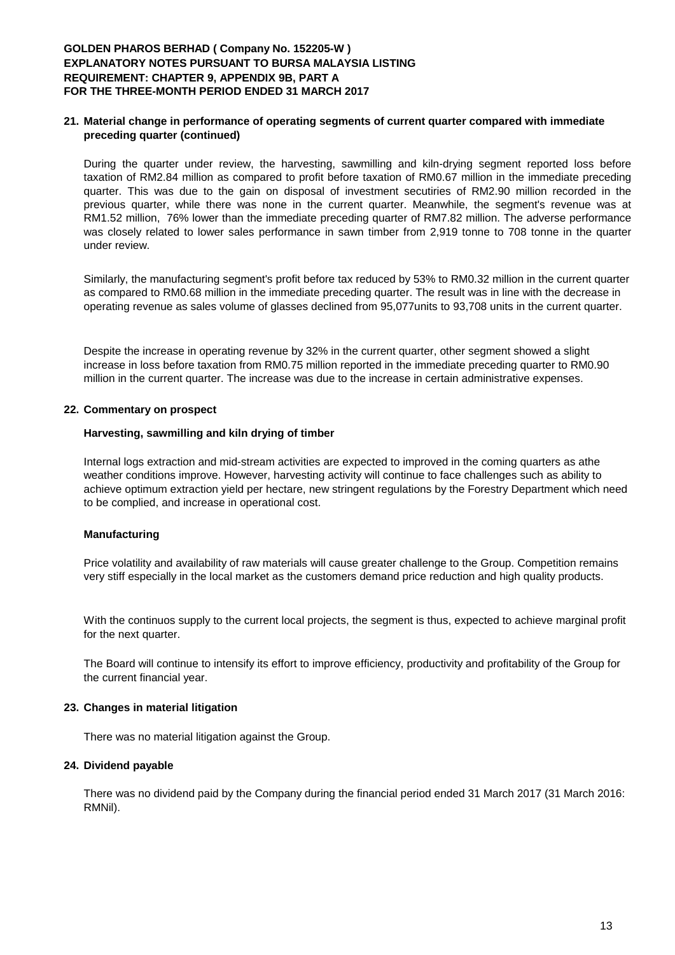## **GOLDEN PHAROS BERHAD ( Company No. 152205-W ) EXPLANATORY NOTES PURSUANT TO BURSA MALAYSIA LISTING REQUIREMENT: CHAPTER 9, APPENDIX 9B, PART A FOR THE THREE-MONTH PERIOD ENDED 31 MARCH 2017**

### **21. Material change in performance of operating segments of current quarter compared with immediate preceding quarter (continued)**

During the quarter under review, the harvesting, sawmilling and kiln-drying segment reported loss before taxation of RM2.84 million as compared to profit before taxation of RM0.67 million in the immediate preceding quarter. This was due to the gain on disposal of investment secutiries of RM2.90 million recorded in the previous quarter, while there was none in the current quarter. Meanwhile, the segment's revenue was at RM1.52 million, 76% lower than the immediate preceding quarter of RM7.82 million. The adverse performance was closely related to lower sales performance in sawn timber from 2,919 tonne to 708 tonne in the quarter under review.

Similarly, the manufacturing segment's profit before tax reduced by 53% to RM0.32 million in the current quarter as compared to RM0.68 million in the immediate preceding quarter. The result was in line with the decrease in operating revenue as sales volume of glasses declined from 95,077units to 93,708 units in the current quarter.

Despite the increase in operating revenue by 32% in the current quarter, other segment showed a slight increase in loss before taxation from RM0.75 million reported in the immediate preceding quarter to RM0.90 million in the current quarter. The increase was due to the increase in certain administrative expenses.

### **22. Commentary on prospect**

#### **Harvesting, sawmilling and kiln drying of timber**

Internal logs extraction and mid-stream activities are expected to improved in the coming quarters as athe weather conditions improve. However, harvesting activity will continue to face challenges such as ability to achieve optimum extraction yield per hectare, new stringent regulations by the Forestry Department which need to be complied, and increase in operational cost.

#### **Manufacturing**

Price volatility and availability of raw materials will cause greater challenge to the Group. Competition remains very stiff especially in the local market as the customers demand price reduction and high quality products.

With the continuos supply to the current local projects, the segment is thus, expected to achieve marginal profit for the next quarter.

The Board will continue to intensify its effort to improve efficiency, productivity and profitability of the Group for the current financial year.

#### **23. Changes in material litigation**

There was no material litigation against the Group.

#### **24. Dividend payable**

There was no dividend paid by the Company during the financial period ended 31 March 2017 (31 March 2016: RMNil).